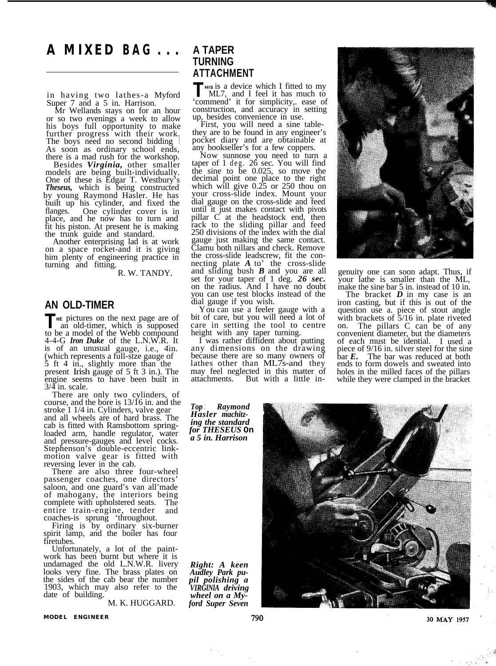## **A MIXED BAG . . .**

in having two lathes-a Myford Super 7 and a 5 in. Harrison.

or so two evenings a week to allow his boys full opportunity to make further progress with their work. The boys need no second bidding As soon as ordinary school ends, there is a mad rush for the workshop.

Besides *Virginia,* other smaller models are being built-individually. One of these is Edgar T. Westbury's *Theseus,* which is being constructed by young Raymond Hasler. He has built up his cylinder, and fixed the flanges. One cylinder cover is in place, and he now has to turn and fit his piston. At present he is making the trunk guide and standard. Another enterprising lad is at work on a space rocket-and it is giving

on a space rocket-and it is giving<br>him plenty of engineering practice in turning and fitting.

R. W. TANDY**.**

## **AN OLD-TIMER**

**THE PICTURE PICTURE**  an old-timer, which is supposed an old-timer, which is supposed to be a model of the Webb compound 4-4-G *Iron Duke* of the L.N.W.R. It is of an unusual gauge, i.e., 4in. (which represents a full-stze gauge of  $\dot{5}$  ft 4 in., slightly more than the present Irish gauge of 5 ft 3 in.). The engine seems to have been built in  $3/4$  in. scale.

There are only two cylinders, of course, and the bore is 13/16 in. and the stroke 1 1/4 in. Cylinders, valve gear and all wheels are of hard brass. The loaded arm, handle regulator, water and pressure-gauges and level cocks. Stephenson's double-eccentric link-motion valve gear is fitted with reversing lever in the cab. There are also three four-wheel

There are also three four-wheel<br>passenger coaches, one directors' saloon, and one guard's van all'made of mahogany, the interiors being complete with upholstered seats. The entire train-engine, tender and coaches-is sprung 'throughout.

Firing is by ordinary six-burner spirit lamp, and the boiler has four firetubes.

Unfortunately, a lot of the paint- work has been burnt but where it is undamaged the old L.N.W.R. livery looks very fine. The brass plates on the sides of the cab bear the number 1903, which may also refer to the date of building.

M. K. HUGGARD.

## **A TAPER TURNING ATTACHMENT**

**THIS** is a device which I fitted to my ML7, and I feel it has much to 'commend' it for simplicity,. ease of construction, and accuracy in setting

First, you will need a sine table-<br>they are to be found in any engineer's pocket diary and are obtainable at any bookseller's for a few coppers.

Now sunnose you need to turn a taper of 1 deg. 26 sec. You will find the sine to be 0.025, so move the decimal point one place to the right which will give 0.25 or 250 thou on your cross-slide index. Mount your dial gauge on the cross-slide and feed until it just makes contact with pivots pillar C at the headstock end, then rack to the sliding pillar and feed 250 divisions of the index with the dial gauge just making the same contact. Clamu both nillars and check. Remove the cross-slide leadscrew, fit the connecting plate *A* to' the cross-slide and sliding bush *B* and you are all set for your taper of 1 deg. *26 sec.* on the radius. And I have no doubt you can use test blocks instead of the dial gauge if you wish.<br>You can use a feeler gauge with a

bit of care, but you will need a lot of care in setting the tool to centre height with any taper turning. I was rather diffident about putting any dimensions on the drawing

because there are so many owners of lathes other than ML7s-and they may feel neglected in this matter of may feel neglected in this matter of attachments. But with a little in-

*Top* : *Raymond Hasler machitzing the standard for THESEUS* **On** *a 5 in. Harrison*

*Right: A keen Audley Park pu-pil polishing a VIRGlNlA driving wheel on a Myford Super Seven*



genuity one can soon adapt. Thus, if your lathe is smaller than the ML, make the sine bar 5 in. instead of 10 in.

The bracket *D* in my case is an iron casting, but if this is out of the question use a. piece of stout angle with brackets of 5/16 in. plate riveted on. The pillars C can be of any convenient diameter, but the diameters of each must be idential. I used a piece of 9/16 in. silver steel for the sine bar *E.* The bar was reduced at both ends to form dowels and sweated into holes in the milled faces of the pillars while they were clamped in the bracket



**MODEL ENGINEER**

30 MAY 1957